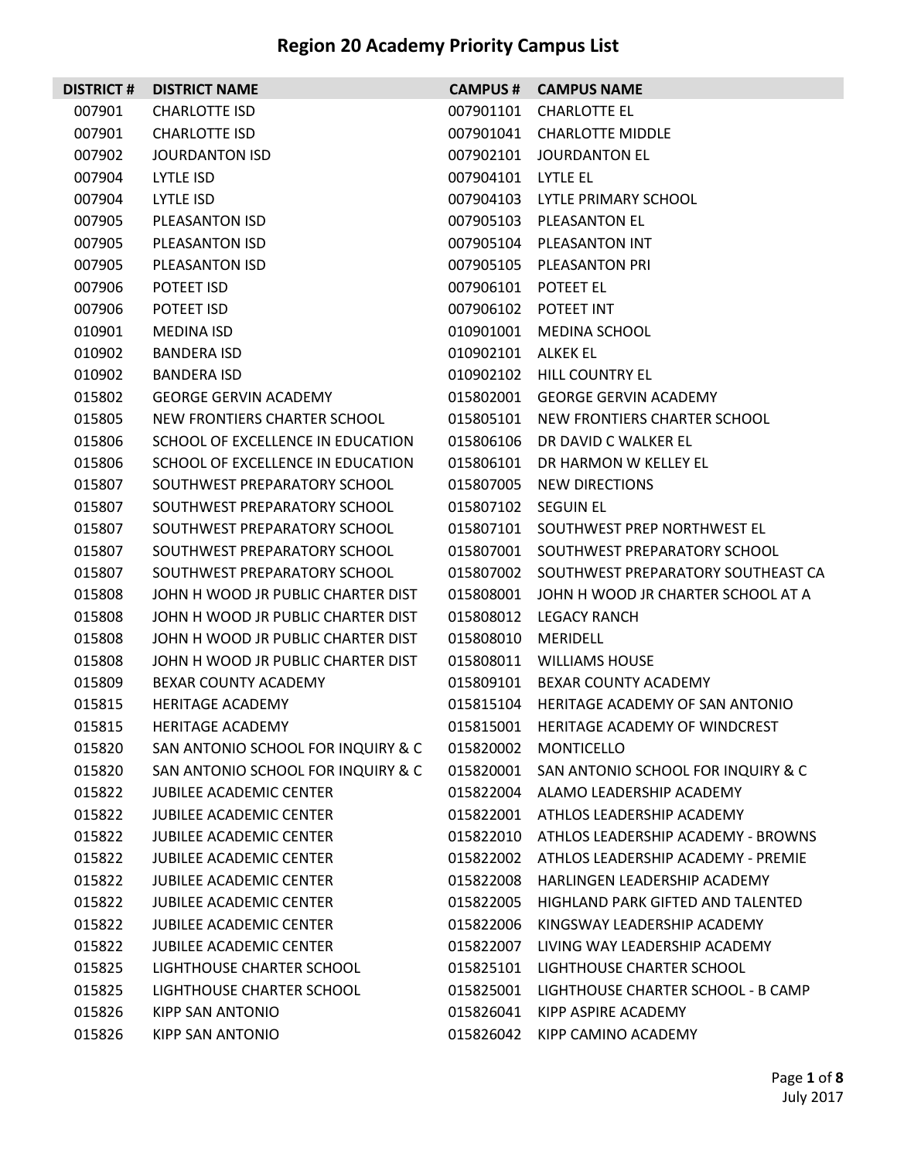| <b>DISTRICT#</b> | <b>DISTRICT NAME</b>               |           | <b>CAMPUS # CAMPUS NAME</b>                  |
|------------------|------------------------------------|-----------|----------------------------------------------|
| 007901           | <b>CHARLOTTE ISD</b>               | 007901101 | <b>CHARLOTTE EL</b>                          |
| 007901           | <b>CHARLOTTE ISD</b>               |           | 007901041 CHARLOTTE MIDDLE                   |
| 007902           | JOURDANTON ISD                     | 007902101 | JOURDANTON EL                                |
| 007904           | LYTLE ISD                          | 007904101 | LYTLE EL                                     |
| 007904           | LYTLE ISD                          | 007904103 | LYTLE PRIMARY SCHOOL                         |
| 007905           | PLEASANTON ISD                     | 007905103 | <b>PLEASANTON EL</b>                         |
| 007905           | PLEASANTON ISD                     | 007905104 | PLEASANTON INT                               |
| 007905           | PLEASANTON ISD                     | 007905105 | PLEASANTON PRI                               |
| 007906           | <b>POTEET ISD</b>                  | 007906101 | POTEET EL                                    |
| 007906           | POTEET ISD                         | 007906102 | POTEET INT                                   |
| 010901           | <b>MEDINA ISD</b>                  | 010901001 | <b>MEDINA SCHOOL</b>                         |
| 010902           | <b>BANDERA ISD</b>                 | 010902101 | ALKEK EL                                     |
| 010902           | <b>BANDERA ISD</b>                 | 010902102 | <b>HILL COUNTRY EL</b>                       |
| 015802           | <b>GEORGE GERVIN ACADEMY</b>       | 015802001 | <b>GEORGE GERVIN ACADEMY</b>                 |
| 015805           | NEW FRONTIERS CHARTER SCHOOL       | 015805101 | NEW FRONTIERS CHARTER SCHOOL                 |
| 015806           | SCHOOL OF EXCELLENCE IN EDUCATION  | 015806106 | DR DAVID C WALKER EL                         |
| 015806           | SCHOOL OF EXCELLENCE IN EDUCATION  | 015806101 | DR HARMON W KELLEY EL                        |
| 015807           | SOUTHWEST PREPARATORY SCHOOL       | 015807005 | NEW DIRECTIONS                               |
| 015807           | SOUTHWEST PREPARATORY SCHOOL       | 015807102 | <b>SEGUIN EL</b>                             |
| 015807           | SOUTHWEST PREPARATORY SCHOOL       |           | 015807101 SOUTHWEST PREP NORTHWEST EL        |
| 015807           | SOUTHWEST PREPARATORY SCHOOL       | 015807001 | SOUTHWEST PREPARATORY SCHOOL                 |
| 015807           | SOUTHWEST PREPARATORY SCHOOL       |           | 015807002 SOUTHWEST PREPARATORY SOUTHEAST CA |
| 015808           | JOHN H WOOD JR PUBLIC CHARTER DIST | 015808001 | JOHN H WOOD JR CHARTER SCHOOL AT A           |
| 015808           | JOHN H WOOD JR PUBLIC CHARTER DIST | 015808012 | LEGACY RANCH                                 |
| 015808           | JOHN H WOOD JR PUBLIC CHARTER DIST | 015808010 | <b>MERIDELL</b>                              |
| 015808           | JOHN H WOOD JR PUBLIC CHARTER DIST | 015808011 | WILLIAMS HOUSE                               |
| 015809           | BEXAR COUNTY ACADEMY               | 015809101 | <b>BEXAR COUNTY ACADEMY</b>                  |
| 015815           | <b>HERITAGE ACADEMY</b>            |           | 015815104 HERITAGE ACADEMY OF SAN ANTONIO    |
| 015815           | HERITAGE ACADEMY                   |           | 015815001 HERITAGE ACADEMY OF WINDCREST      |
| 015820           | SAN ANTONIO SCHOOL FOR INQUIRY & C |           | 015820002 MONTICELLO                         |
| 015820           | SAN ANTONIO SCHOOL FOR INQUIRY & C | 015820001 | SAN ANTONIO SCHOOL FOR INQUIRY & C           |
| 015822           | <b>JUBILEE ACADEMIC CENTER</b>     | 015822004 | ALAMO LEADERSHIP ACADEMY                     |
| 015822           | <b>JUBILEE ACADEMIC CENTER</b>     | 015822001 | ATHLOS LEADERSHIP ACADEMY                    |
| 015822           | <b>JUBILEE ACADEMIC CENTER</b>     |           | 015822010 ATHLOS LEADERSHIP ACADEMY - BROWNS |
| 015822           | <b>JUBILEE ACADEMIC CENTER</b>     | 015822002 | ATHLOS LEADERSHIP ACADEMY - PREMIE           |
| 015822           | <b>JUBILEE ACADEMIC CENTER</b>     | 015822008 | HARLINGEN LEADERSHIP ACADEMY                 |
| 015822           | <b>JUBILEE ACADEMIC CENTER</b>     | 015822005 | HIGHLAND PARK GIFTED AND TALENTED            |
| 015822           | <b>JUBILEE ACADEMIC CENTER</b>     | 015822006 | KINGSWAY LEADERSHIP ACADEMY                  |
| 015822           | JUBILEE ACADEMIC CENTER            | 015822007 | LIVING WAY LEADERSHIP ACADEMY                |
| 015825           | LIGHTHOUSE CHARTER SCHOOL          | 015825101 | LIGHTHOUSE CHARTER SCHOOL                    |
| 015825           | LIGHTHOUSE CHARTER SCHOOL          | 015825001 | LIGHTHOUSE CHARTER SCHOOL - B CAMP           |
| 015826           | KIPP SAN ANTONIO                   | 015826041 | KIPP ASPIRE ACADEMY                          |
| 015826           | KIPP SAN ANTONIO                   | 015826042 | KIPP CAMINO ACADEMY                          |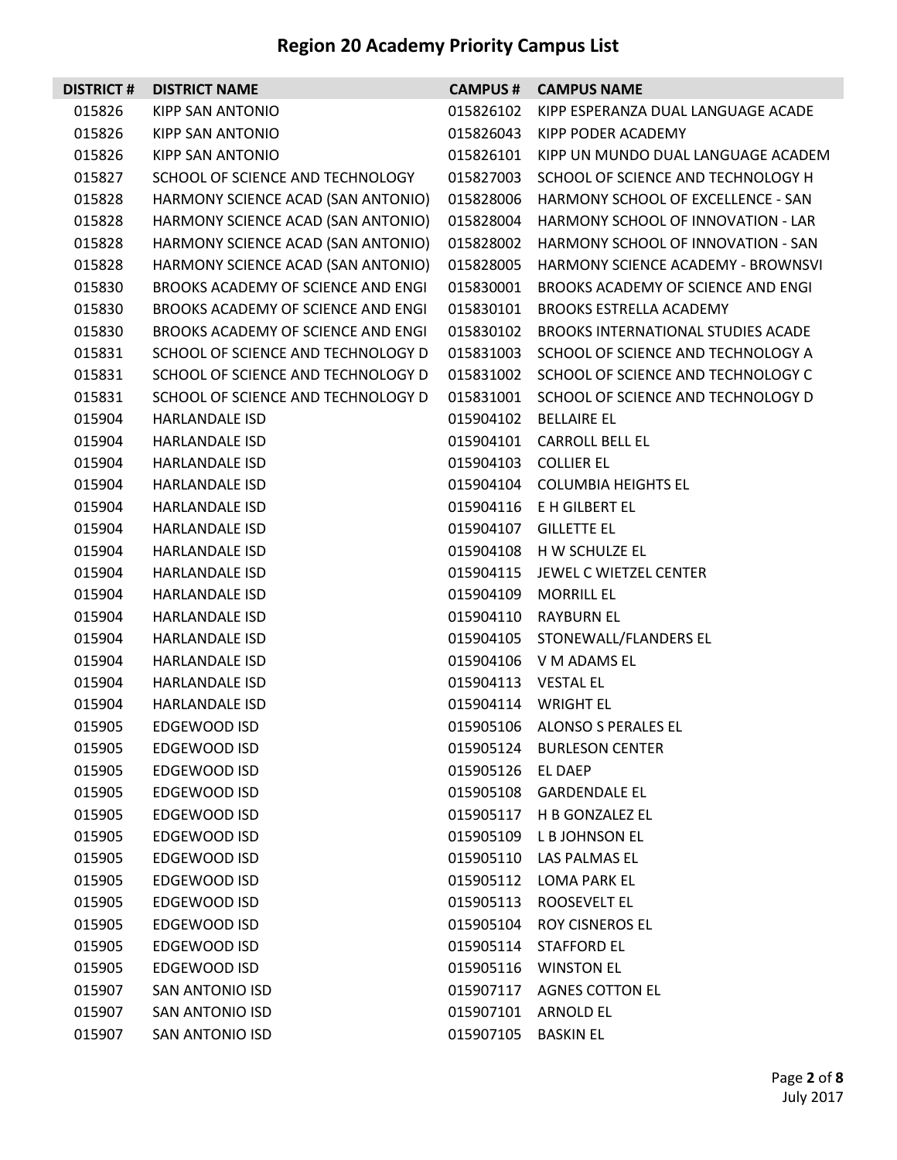| <b>DISTRICT#</b> | <b>DISTRICT NAME</b>               | <b>CAMPUS #</b>     | <b>CAMPUS NAME</b>                        |
|------------------|------------------------------------|---------------------|-------------------------------------------|
| 015826           | KIPP SAN ANTONIO                   | 015826102           | KIPP ESPERANZA DUAL LANGUAGE ACADE        |
| 015826           | KIPP SAN ANTONIO                   | 015826043           | KIPP PODER ACADEMY                        |
| 015826           | KIPP SAN ANTONIO                   | 015826101           | KIPP UN MUNDO DUAL LANGUAGE ACADEM        |
| 015827           | SCHOOL OF SCIENCE AND TECHNOLOGY   | 015827003           | SCHOOL OF SCIENCE AND TECHNOLOGY H        |
| 015828           | HARMONY SCIENCE ACAD (SAN ANTONIO) | 015828006           | HARMONY SCHOOL OF EXCELLENCE - SAN        |
| 015828           | HARMONY SCIENCE ACAD (SAN ANTONIO) | 015828004           | HARMONY SCHOOL OF INNOVATION - LAR        |
| 015828           | HARMONY SCIENCE ACAD (SAN ANTONIO) | 015828002           | HARMONY SCHOOL OF INNOVATION - SAN        |
| 015828           | HARMONY SCIENCE ACAD (SAN ANTONIO) | 015828005           | <b>HARMONY SCIENCE ACADEMY - BROWNSVI</b> |
| 015830           | BROOKS ACADEMY OF SCIENCE AND ENGI | 015830001           | BROOKS ACADEMY OF SCIENCE AND ENGI        |
| 015830           | BROOKS ACADEMY OF SCIENCE AND ENGI | 015830101           | <b>BROOKS ESTRELLA ACADEMY</b>            |
| 015830           | BROOKS ACADEMY OF SCIENCE AND ENGI | 015830102           | BROOKS INTERNATIONAL STUDIES ACADE        |
| 015831           | SCHOOL OF SCIENCE AND TECHNOLOGY D | 015831003           | SCHOOL OF SCIENCE AND TECHNOLOGY A        |
| 015831           | SCHOOL OF SCIENCE AND TECHNOLOGY D | 015831002           | SCHOOL OF SCIENCE AND TECHNOLOGY C        |
| 015831           | SCHOOL OF SCIENCE AND TECHNOLOGY D | 015831001           | SCHOOL OF SCIENCE AND TECHNOLOGY D        |
| 015904           | <b>HARLANDALE ISD</b>              | 015904102           | <b>BELLAIRE EL</b>                        |
| 015904           | HARLANDALE ISD                     | 015904101           | <b>CARROLL BELL EL</b>                    |
| 015904           | <b>HARLANDALE ISD</b>              |                     | 015904103 COLLIER EL                      |
| 015904           | <b>HARLANDALE ISD</b>              | 015904104           | <b>COLUMBIA HEIGHTS EL</b>                |
| 015904           | <b>HARLANDALE ISD</b>              |                     | 015904116 E H GILBERT EL                  |
| 015904           | <b>HARLANDALE ISD</b>              | 015904107           | <b>GILLETTE EL</b>                        |
| 015904           | <b>HARLANDALE ISD</b>              |                     | 015904108 H W SCHULZE EL                  |
| 015904           | <b>HARLANDALE ISD</b>              | 015904115           | JEWEL C WIETZEL CENTER                    |
| 015904           | <b>HARLANDALE ISD</b>              | 015904109           | <b>MORRILL EL</b>                         |
| 015904           | <b>HARLANDALE ISD</b>              | 015904110           | <b>RAYBURN EL</b>                         |
| 015904           | <b>HARLANDALE ISD</b>              | 015904105           | STONEWALL/FLANDERS EL                     |
| 015904           | <b>HARLANDALE ISD</b>              |                     | 015904106 V M ADAMS EL                    |
| 015904           | <b>HARLANDALE ISD</b>              | 015904113 VESTAL EL |                                           |
| 015904           | HARLANDALE ISD                     | 015904114           | <b>WRIGHT EL</b>                          |
| 015905           | EDGEWOOD ISD                       | 015905106           | ALONSO S PERALES EL                       |
| 015905           | <b>EDGEWOOD ISD</b>                |                     | 015905124 BURLESON CENTER                 |
| 015905           | EDGEWOOD ISD                       | 015905126           | EL DAEP                                   |
| 015905           | EDGEWOOD ISD                       | 015905108           | <b>GARDENDALE EL</b>                      |
| 015905           | EDGEWOOD ISD                       | 015905117           | H B GONZALEZ EL                           |
| 015905           | EDGEWOOD ISD                       | 015905109           | L B JOHNSON EL                            |
| 015905           | EDGEWOOD ISD                       | 015905110           | LAS PALMAS EL                             |
| 015905           | EDGEWOOD ISD                       | 015905112           | <b>LOMA PARK EL</b>                       |
| 015905           | EDGEWOOD ISD                       | 015905113           | <b>ROOSEVELT EL</b>                       |
| 015905           | EDGEWOOD ISD                       | 015905104           | <b>ROY CISNEROS EL</b>                    |
| 015905           | EDGEWOOD ISD                       | 015905114           | <b>STAFFORD EL</b>                        |
| 015905           | EDGEWOOD ISD                       | 015905116           | <b>WINSTON EL</b>                         |
| 015907           | <b>SAN ANTONIO ISD</b>             | 015907117           | <b>AGNES COTTON EL</b>                    |
| 015907           | <b>SAN ANTONIO ISD</b>             | 015907101           | ARNOLD EL                                 |
| 015907           | SAN ANTONIO ISD                    | 015907105           | <b>BASKIN EL</b>                          |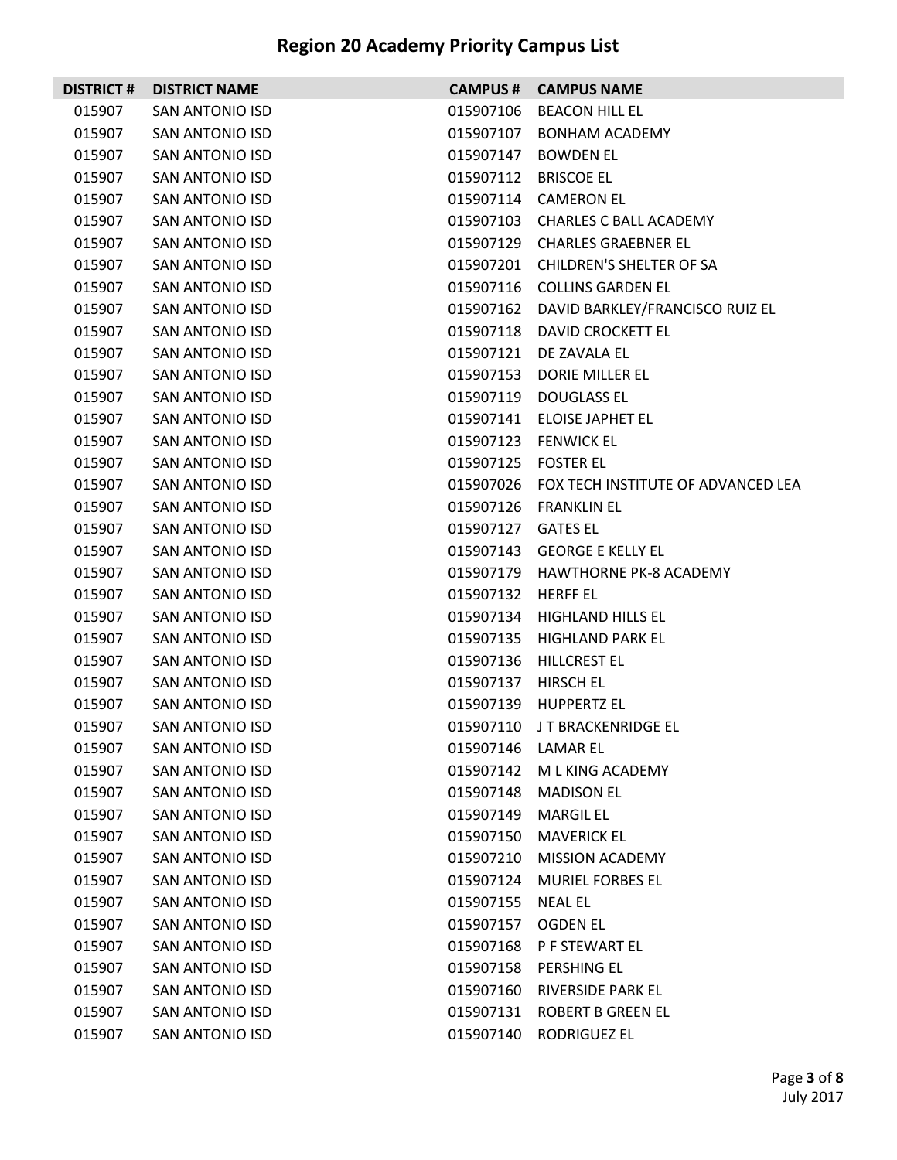|        | <b>DISTRICT # DISTRICT NAME</b> |                    | <b>CAMPUS # CAMPUS NAME</b>                  |
|--------|---------------------------------|--------------------|----------------------------------------------|
| 015907 | <b>SAN ANTONIO ISD</b>          | 015907106          | <b>BEACON HILL EL</b>                        |
| 015907 | <b>SAN ANTONIO ISD</b>          | 015907107          | <b>BONHAM ACADEMY</b>                        |
| 015907 | <b>SAN ANTONIO ISD</b>          | 015907147          | <b>BOWDEN EL</b>                             |
| 015907 | <b>SAN ANTONIO ISD</b>          | 015907112          | <b>BRISCOE EL</b>                            |
| 015907 | <b>SAN ANTONIO ISD</b>          | 015907114          | <b>CAMERON EL</b>                            |
| 015907 | <b>SAN ANTONIO ISD</b>          |                    | 015907103 CHARLES C BALL ACADEMY             |
| 015907 | <b>SAN ANTONIO ISD</b>          | 015907129          | <b>CHARLES GRAEBNER EL</b>                   |
| 015907 | <b>SAN ANTONIO ISD</b>          |                    | 015907201 CHILDREN'S SHELTER OF SA           |
| 015907 | <b>SAN ANTONIO ISD</b>          | 015907116          | <b>COLLINS GARDEN EL</b>                     |
| 015907 | SAN ANTONIO ISD                 |                    | 015907162 DAVID BARKLEY/FRANCISCO RUIZ EL    |
| 015907 | <b>SAN ANTONIO ISD</b>          | 015907118          | DAVID CROCKETT EL                            |
| 015907 | <b>SAN ANTONIO ISD</b>          |                    | 015907121 DE ZAVALA EL                       |
| 015907 | <b>SAN ANTONIO ISD</b>          | 015907153          | <b>DORIE MILLER EL</b>                       |
| 015907 | <b>SAN ANTONIO ISD</b>          | 015907119          | <b>DOUGLASS EL</b>                           |
| 015907 | <b>SAN ANTONIO ISD</b>          | 015907141          | ELOISE JAPHET EL                             |
| 015907 | SAN ANTONIO ISD                 |                    | 015907123 FENWICK EL                         |
| 015907 | <b>SAN ANTONIO ISD</b>          | 015907125          | <b>FOSTER EL</b>                             |
| 015907 | SAN ANTONIO ISD                 |                    | 015907026 FOX TECH INSTITUTE OF ADVANCED LEA |
| 015907 | <b>SAN ANTONIO ISD</b>          | 015907126          | <b>FRANKLIN EL</b>                           |
| 015907 | <b>SAN ANTONIO ISD</b>          | 015907127 GATES EL |                                              |
| 015907 | <b>SAN ANTONIO ISD</b>          | 015907143          | <b>GEORGE E KELLY EL</b>                     |
| 015907 | <b>SAN ANTONIO ISD</b>          |                    | 015907179 HAWTHORNE PK-8 ACADEMY             |
| 015907 | <b>SAN ANTONIO ISD</b>          | 015907132          | <b>HERFF EL</b>                              |
| 015907 | <b>SAN ANTONIO ISD</b>          | 015907134          | HIGHLAND HILLS EL                            |
| 015907 | <b>SAN ANTONIO ISD</b>          | 015907135          | <b>HIGHLAND PARK EL</b>                      |
| 015907 | <b>SAN ANTONIO ISD</b>          | 015907136          | HILLCREST EL                                 |
| 015907 | <b>SAN ANTONIO ISD</b>          | 015907137          | <b>HIRSCH EL</b>                             |
| 015907 | <b>SAN ANTONIO ISD</b>          |                    | 015907139 HUPPERTZ EL                        |
| 015907 | <b>SAN ANTONIO ISD</b>          |                    | 015907110 JT BRACKENRIDGE EL                 |
| 015907 | SAN ANTONIO ISD                 | 015907146 LAMAR EL |                                              |
| 015907 | <b>SAN ANTONIO ISD</b>          | 015907142          | M L KING ACADEMY                             |
| 015907 | <b>SAN ANTONIO ISD</b>          | 015907148          | <b>MADISON EL</b>                            |
| 015907 | <b>SAN ANTONIO ISD</b>          | 015907149          | <b>MARGIL EL</b>                             |
| 015907 | <b>SAN ANTONIO ISD</b>          | 015907150          | <b>MAVERICK EL</b>                           |
| 015907 | <b>SAN ANTONIO ISD</b>          | 015907210          | MISSION ACADEMY                              |
| 015907 | <b>SAN ANTONIO ISD</b>          | 015907124          | <b>MURIEL FORBES EL</b>                      |
| 015907 | SAN ANTONIO ISD                 | 015907155          | NEAL EL                                      |
| 015907 | SAN ANTONIO ISD                 | 015907157          | OGDEN EL                                     |
| 015907 | <b>SAN ANTONIO ISD</b>          | 015907168          | P F STEWART EL                               |
| 015907 | <b>SAN ANTONIO ISD</b>          | 015907158          | PERSHING EL                                  |
| 015907 | SAN ANTONIO ISD                 | 015907160          | RIVERSIDE PARK EL                            |
| 015907 | SAN ANTONIO ISD                 |                    | 015907131 ROBERT B GREEN EL                  |
| 015907 | <b>SAN ANTONIO ISD</b>          |                    | 015907140 RODRIGUEZ EL                       |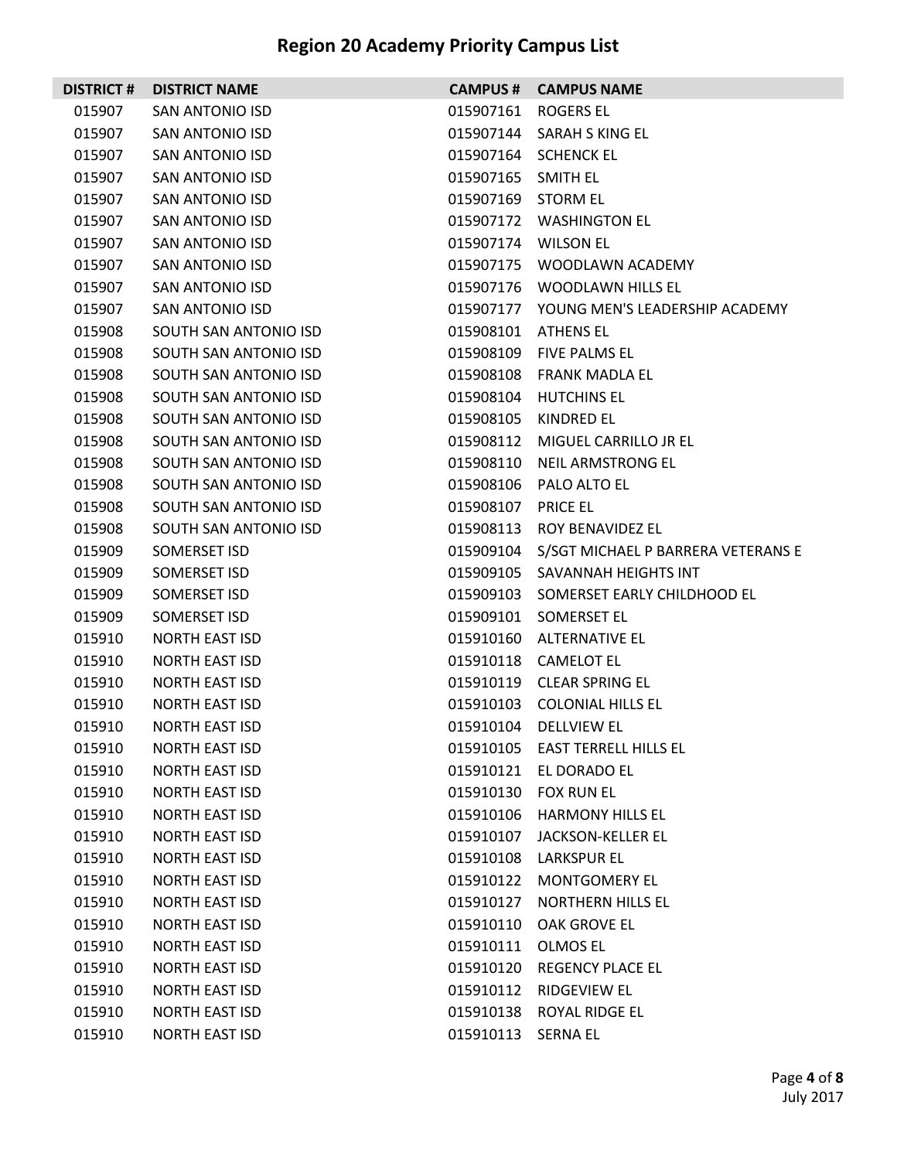| <b>DISTRICT#</b> | <b>DISTRICT NAME</b>   |                    | <b>CAMPUS # CAMPUS NAME</b>              |
|------------------|------------------------|--------------------|------------------------------------------|
| 015907           | <b>SAN ANTONIO ISD</b> | 015907161          | <b>ROGERS EL</b>                         |
| 015907           | <b>SAN ANTONIO ISD</b> | 015907144          | SARAH S KING EL                          |
| 015907           | <b>SAN ANTONIO ISD</b> | 015907164          | <b>SCHENCK EL</b>                        |
| 015907           | <b>SAN ANTONIO ISD</b> | 015907165          | SMITH EL                                 |
| 015907           | <b>SAN ANTONIO ISD</b> | 015907169          | <b>STORM EL</b>                          |
| 015907           | SAN ANTONIO ISD        |                    | 015907172 WASHINGTON EL                  |
| 015907           | <b>SAN ANTONIO ISD</b> | 015907174          | <b>WILSON EL</b>                         |
| 015907           | SAN ANTONIO ISD        |                    | 015907175 WOODLAWN ACADEMY               |
| 015907           | <b>SAN ANTONIO ISD</b> | 015907176          | <b>WOODLAWN HILLS EL</b>                 |
| 015907           | SAN ANTONIO ISD        |                    | 015907177 YOUNG MEN'S LEADERSHIP ACADEMY |
| 015908           | SOUTH SAN ANTONIO ISD  | 015908101          | ATHENS EL                                |
| 015908           | SOUTH SAN ANTONIO ISD  | 015908109          | FIVE PALMS EL                            |
| 015908           | SOUTH SAN ANTONIO ISD  | 015908108          | <b>FRANK MADLA EL</b>                    |
| 015908           | SOUTH SAN ANTONIO ISD  | 015908104          | <b>HUTCHINS EL</b>                       |
| 015908           | SOUTH SAN ANTONIO ISD  | 015908105          | KINDRED EL                               |
| 015908           | SOUTH SAN ANTONIO ISD  | 015908112          | MIGUEL CARRILLO JR EL                    |
| 015908           | SOUTH SAN ANTONIO ISD  | 015908110          | <b>NEIL ARMSTRONG EL</b>                 |
| 015908           | SOUTH SAN ANTONIO ISD  | 015908106          | <b>PALO ALTO EL</b>                      |
| 015908           | SOUTH SAN ANTONIO ISD  | 015908107          | <b>PRICE EL</b>                          |
| 015908           | SOUTH SAN ANTONIO ISD  | 015908113          | ROY BENAVIDEZ EL                         |
| 015909           | SOMERSET ISD           | 015909104          | S/SGT MICHAEL P BARRERA VETERANS E       |
| 015909           | SOMERSET ISD           | 015909105          | SAVANNAH HEIGHTS INT                     |
| 015909           | SOMERSET ISD           | 015909103          | SOMERSET EARLY CHILDHOOD EL              |
| 015909           | SOMERSET ISD           | 015909101          | SOMERSET EL                              |
| 015910           | <b>NORTH EAST ISD</b>  | 015910160          | <b>ALTERNATIVE EL</b>                    |
| 015910           | <b>NORTH EAST ISD</b>  |                    | 015910118 CAMELOT EL                     |
| 015910           | <b>NORTH EAST ISD</b>  | 015910119          | <b>CLEAR SPRING EL</b>                   |
| 015910           | <b>NORTH EAST ISD</b>  |                    | 015910103 COLONIAL HILLS EL              |
| 015910           | NORTH EAST ISD         |                    | 015910104 DELLVIEW EL                    |
| 015910           | <b>NORTH EAST ISD</b>  |                    | 015910105 EAST TERRELL HILLS EL          |
| 015910           | <b>NORTH EAST ISD</b>  | 015910121          | EL DORADO EL                             |
| 015910           | <b>NORTH EAST ISD</b>  | 015910130          | <b>FOX RUN EL</b>                        |
| 015910           | <b>NORTH EAST ISD</b>  | 015910106          | <b>HARMONY HILLS EL</b>                  |
| 015910           | <b>NORTH EAST ISD</b>  | 015910107          | JACKSON-KELLER EL                        |
| 015910           | <b>NORTH EAST ISD</b>  | 015910108          | <b>LARKSPUR EL</b>                       |
| 015910           | <b>NORTH EAST ISD</b>  | 015910122          | <b>MONTGOMERY EL</b>                     |
| 015910           | <b>NORTH EAST ISD</b>  | 015910127          | <b>NORTHERN HILLS EL</b>                 |
| 015910           | <b>NORTH EAST ISD</b>  | 015910110          | OAK GROVE EL                             |
| 015910           | <b>NORTH EAST ISD</b>  | 015910111          | OLMOS EL                                 |
| 015910           | <b>NORTH EAST ISD</b>  | 015910120          | <b>REGENCY PLACE EL</b>                  |
| 015910           | <b>NORTH EAST ISD</b>  | 015910112          | RIDGEVIEW EL                             |
| 015910           | <b>NORTH EAST ISD</b>  | 015910138          | ROYAL RIDGE EL                           |
| 015910           | <b>NORTH EAST ISD</b>  | 015910113 SERNA EL |                                          |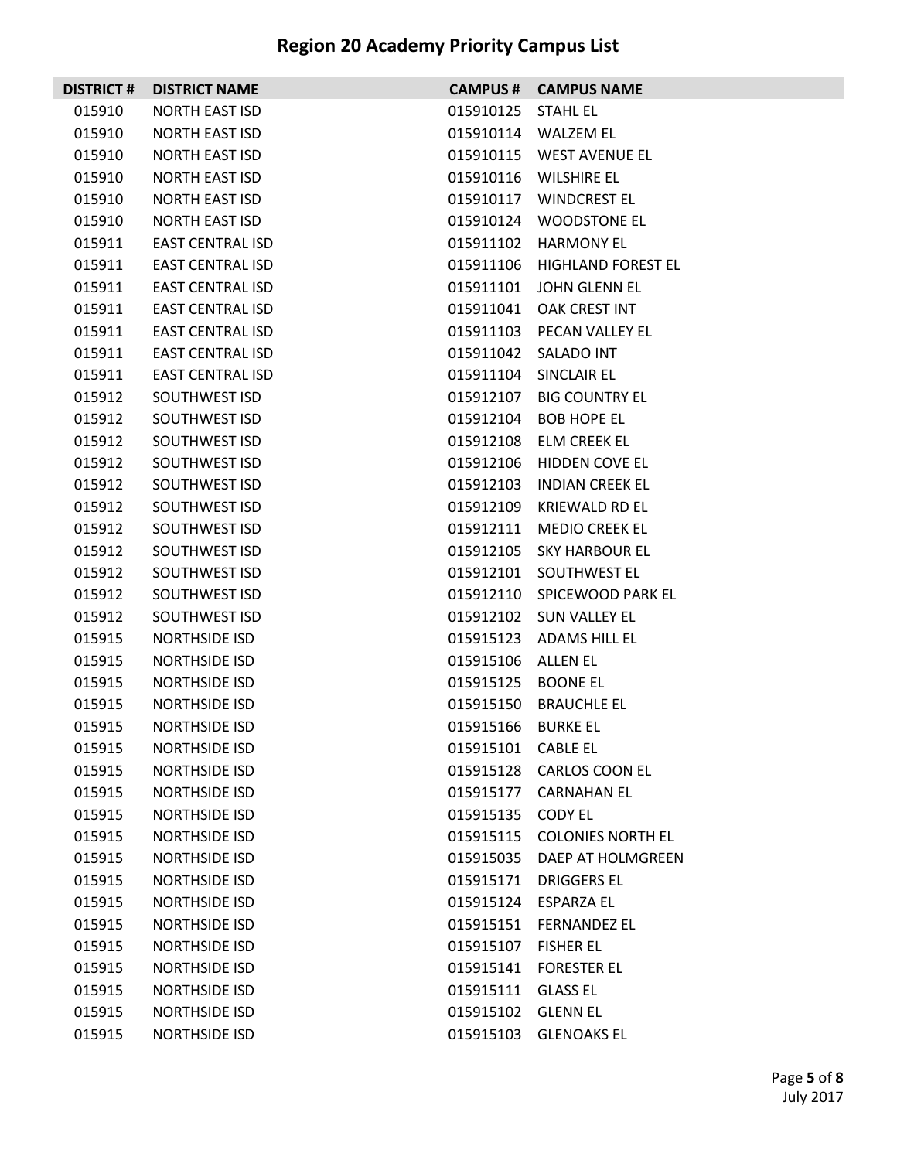| <b>DISTRICT #</b> | <b>DISTRICT NAME</b>    |                    | <b>CAMPUS # CAMPUS NAME</b>  |
|-------------------|-------------------------|--------------------|------------------------------|
| 015910            | <b>NORTH EAST ISD</b>   | 015910125          | <b>STAHL EL</b>              |
| 015910            | <b>NORTH EAST ISD</b>   |                    | 015910114 WALZEM EL          |
| 015910            | <b>NORTH EAST ISD</b>   |                    | 015910115 WEST AVENUE EL     |
| 015910            | <b>NORTH EAST ISD</b>   |                    | 015910116 WILSHIRE EL        |
| 015910            | <b>NORTH EAST ISD</b>   |                    | 015910117 WINDCREST EL       |
| 015910            | <b>NORTH EAST ISD</b>   |                    | 015910124 WOODSTONE EL       |
| 015911            | <b>EAST CENTRAL ISD</b> |                    | 015911102 HARMONY EL         |
| 015911            | <b>EAST CENTRAL ISD</b> |                    | 015911106 HIGHLAND FOREST EL |
| 015911            | <b>EAST CENTRAL ISD</b> |                    | 015911101 JOHN GLENN EL      |
| 015911            | <b>EAST CENTRAL ISD</b> |                    | 015911041 OAK CREST INT      |
| 015911            | <b>EAST CENTRAL ISD</b> |                    | 015911103 PECAN VALLEY EL    |
| 015911            | <b>EAST CENTRAL ISD</b> |                    | 015911042 SALADO INT         |
| 015911            | <b>EAST CENTRAL ISD</b> |                    | 015911104 SINCLAIR EL        |
| 015912            | SOUTHWEST ISD           |                    | 015912107 BIG COUNTRY EL     |
| 015912            | SOUTHWEST ISD           |                    | 015912104 BOB HOPE EL        |
| 015912            | SOUTHWEST ISD           |                    | 015912108 ELM CREEK EL       |
| 015912            | SOUTHWEST ISD           |                    | 015912106 HIDDEN COVE EL     |
| 015912            | SOUTHWEST ISD           |                    | 015912103 INDIAN CREEK EL    |
| 015912            | SOUTHWEST ISD           | 015912109          | KRIEWALD RD EL               |
| 015912            | SOUTHWEST ISD           |                    | 015912111 MEDIO CREEK EL     |
| 015912            | SOUTHWEST ISD           |                    | 015912105 SKY HARBOUR EL     |
| 015912            | SOUTHWEST ISD           |                    | 015912101 SOUTHWEST EL       |
| 015912            | SOUTHWEST ISD           |                    | 015912110 SPICEWOOD PARK EL  |
| 015912            | SOUTHWEST ISD           |                    | 015912102 SUN VALLEY EL      |
| 015915            | <b>NORTHSIDE ISD</b>    |                    | 015915123 ADAMS HILL EL      |
| 015915            | <b>NORTHSIDE ISD</b>    | 015915106 ALLEN EL |                              |
| 015915            | <b>NORTHSIDE ISD</b>    | 015915125 BOONE EL |                              |
| 015915            | <b>NORTHSIDE ISD</b>    |                    | 015915150 BRAUCHLE EL        |
| 015915            | <b>NORTHSIDE ISD</b>    | 015915166 BURKE EL |                              |
| 015915            | <b>NORTHSIDE ISD</b>    | 015915101 CABLE EL |                              |
| 015915            | <b>NORTHSIDE ISD</b>    |                    | 015915128 CARLOS COON EL     |
| 015915            | <b>NORTHSIDE ISD</b>    |                    | 015915177 CARNAHAN EL        |
| 015915            | <b>NORTHSIDE ISD</b>    | 015915135 CODY EL  |                              |
| 015915            | NORTHSIDE ISD           |                    | 015915115 COLONIES NORTH EL  |
| 015915            | <b>NORTHSIDE ISD</b>    |                    | 015915035 DAEP AT HOLMGREEN  |
| 015915            | <b>NORTHSIDE ISD</b>    |                    | 015915171 DRIGGERS EL        |
| 015915            | <b>NORTHSIDE ISD</b>    |                    | 015915124 ESPARZA EL         |
| 015915            | <b>NORTHSIDE ISD</b>    |                    | 015915151 FERNANDEZ EL       |
| 015915            | <b>NORTHSIDE ISD</b>    | 015915107          | <b>FISHER EL</b>             |
| 015915            | <b>NORTHSIDE ISD</b>    |                    | 015915141 FORESTER EL        |
| 015915            | <b>NORTHSIDE ISD</b>    | 015915111 GLASS EL |                              |
| 015915            | <b>NORTHSIDE ISD</b>    | 015915102 GLENN EL |                              |
| 015915            | <b>NORTHSIDE ISD</b>    |                    | 015915103 GLENOAKS EL        |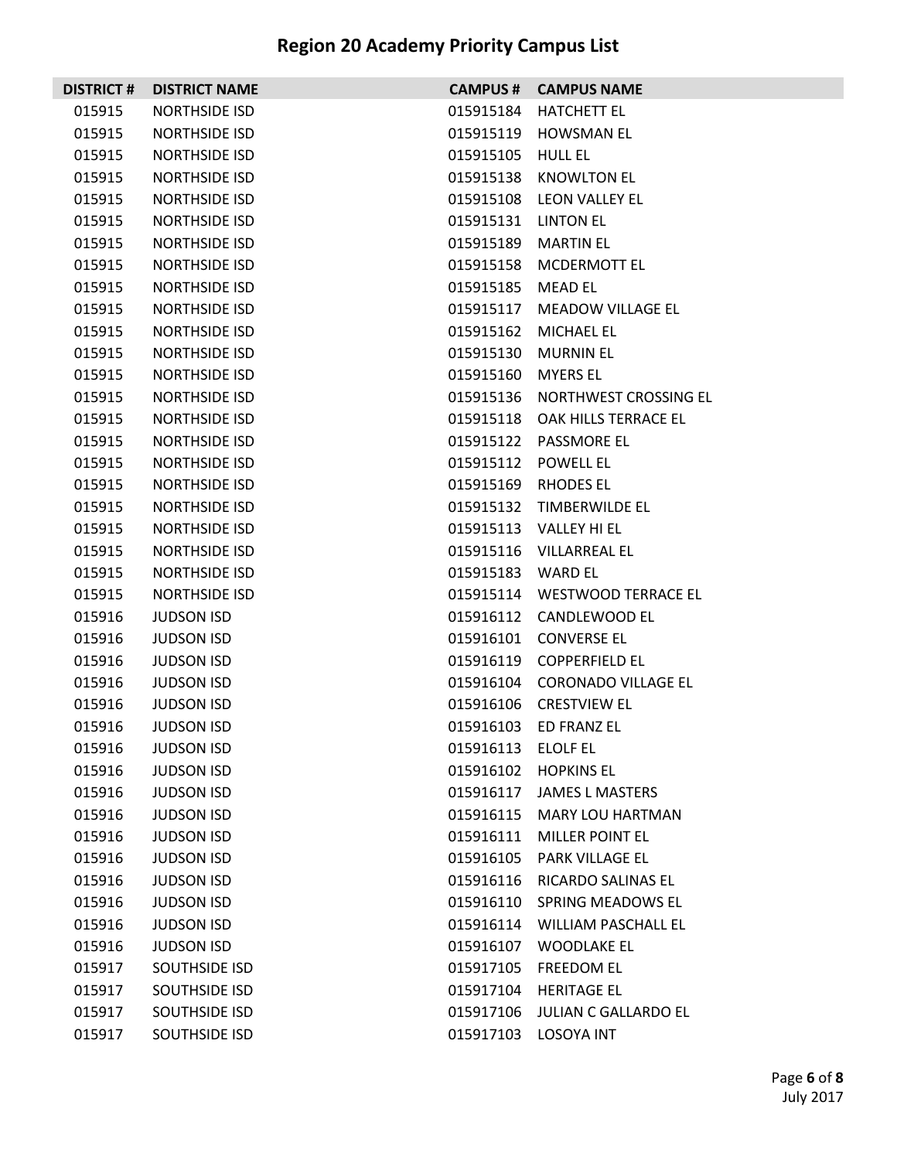| <b>DISTRICT #</b> | <b>DISTRICT NAME</b> |                     | <b>CAMPUS # CAMPUS NAME</b>     |
|-------------------|----------------------|---------------------|---------------------------------|
| 015915            | <b>NORTHSIDE ISD</b> | 015915184           | <b>HATCHETT EL</b>              |
| 015915            | <b>NORTHSIDE ISD</b> |                     | 015915119 HOWSMAN EL            |
| 015915            | <b>NORTHSIDE ISD</b> | 015915105           | <b>HULL EL</b>                  |
| 015915            | <b>NORTHSIDE ISD</b> |                     | 015915138 KNOWLTON EL           |
| 015915            | <b>NORTHSIDE ISD</b> |                     | 015915108 LEON VALLEY EL        |
| 015915            | <b>NORTHSIDE ISD</b> | 015915131 LINTON EL |                                 |
| 015915            | <b>NORTHSIDE ISD</b> | 015915189           | <b>MARTIN EL</b>                |
| 015915            | NORTHSIDE ISD        |                     | 015915158 MCDERMOTT EL          |
| 015915            | <b>NORTHSIDE ISD</b> | 015915185           | <b>MEAD EL</b>                  |
| 015915            | <b>NORTHSIDE ISD</b> |                     | 015915117 MEADOW VILLAGE EL     |
| 015915            | <b>NORTHSIDE ISD</b> | 015915162           | MICHAEL EL                      |
| 015915            | <b>NORTHSIDE ISD</b> |                     | 015915130 MURNIN EL             |
| 015915            | <b>NORTHSIDE ISD</b> | 015915160           | <b>MYERS EL</b>                 |
| 015915            | <b>NORTHSIDE ISD</b> |                     | 015915136 NORTHWEST CROSSING EL |
| 015915            | <b>NORTHSIDE ISD</b> |                     | 015915118 OAK HILLS TERRACE EL  |
| 015915            | <b>NORTHSIDE ISD</b> |                     | 015915122 PASSMORE EL           |
| 015915            | <b>NORTHSIDE ISD</b> | 015915112           | POWELL EL                       |
| 015915            | <b>NORTHSIDE ISD</b> |                     | 015915169 RHODES EL             |
| 015915            | <b>NORTHSIDE ISD</b> |                     | 015915132 TIMBERWILDE EL        |
| 015915            | <b>NORTHSIDE ISD</b> |                     | 015915113 VALLEY HI EL          |
| 015915            | <b>NORTHSIDE ISD</b> |                     | 015915116 VILLARREAL EL         |
| 015915            | <b>NORTHSIDE ISD</b> | 015915183 WARD EL   |                                 |
| 015915            | <b>NORTHSIDE ISD</b> |                     | 015915114 WESTWOOD TERRACE EL   |
| 015916            | <b>JUDSON ISD</b>    |                     | 015916112 CANDLEWOOD EL         |
| 015916            | <b>JUDSON ISD</b>    | 015916101           | <b>CONVERSE EL</b>              |
| 015916            | <b>JUDSON ISD</b>    |                     | 015916119 COPPERFIELD EL        |
| 015916            | <b>JUDSON ISD</b>    |                     | 015916104 CORONADO VILLAGE EL   |
| 015916            | <b>JUDSON ISD</b>    |                     | 015916106 CRESTVIEW EL          |
| 015916            | <b>JUDSON ISD</b>    |                     | 015916103 ED FRANZ EL           |
| 015916            | <b>JUDSON ISD</b>    | 015916113 ELOLF EL  |                                 |
| 015916            | <b>JUDSON ISD</b>    |                     | 015916102 HOPKINS EL            |
| 015916            | <b>JUDSON ISD</b>    |                     | 015916117 JAMES L MASTERS       |
| 015916            | <b>JUDSON ISD</b>    | 015916115           | <b>MARY LOU HARTMAN</b>         |
| 015916            | <b>JUDSON ISD</b>    |                     | 015916111 MILLER POINT EL       |
| 015916            | <b>JUDSON ISD</b>    | 015916105           | PARK VILLAGE EL                 |
| 015916            | <b>JUDSON ISD</b>    |                     | 015916116 RICARDO SALINAS EL    |
| 015916            | <b>JUDSON ISD</b>    |                     | 015916110 SPRING MEADOWS EL     |
| 015916            | <b>JUDSON ISD</b>    |                     | 015916114 WILLIAM PASCHALL EL   |
| 015916            | <b>JUDSON ISD</b>    | 015916107           | WOODLAKE EL                     |
| 015917            | SOUTHSIDE ISD        |                     | 015917105 FREEDOM EL            |
| 015917            | SOUTHSIDE ISD        | 015917104           | <b>HERITAGE EL</b>              |
| 015917            | SOUTHSIDE ISD        |                     | 015917106 JULIAN C GALLARDO EL  |
| 015917            | SOUTHSIDE ISD        |                     | 015917103 LOSOYA INT            |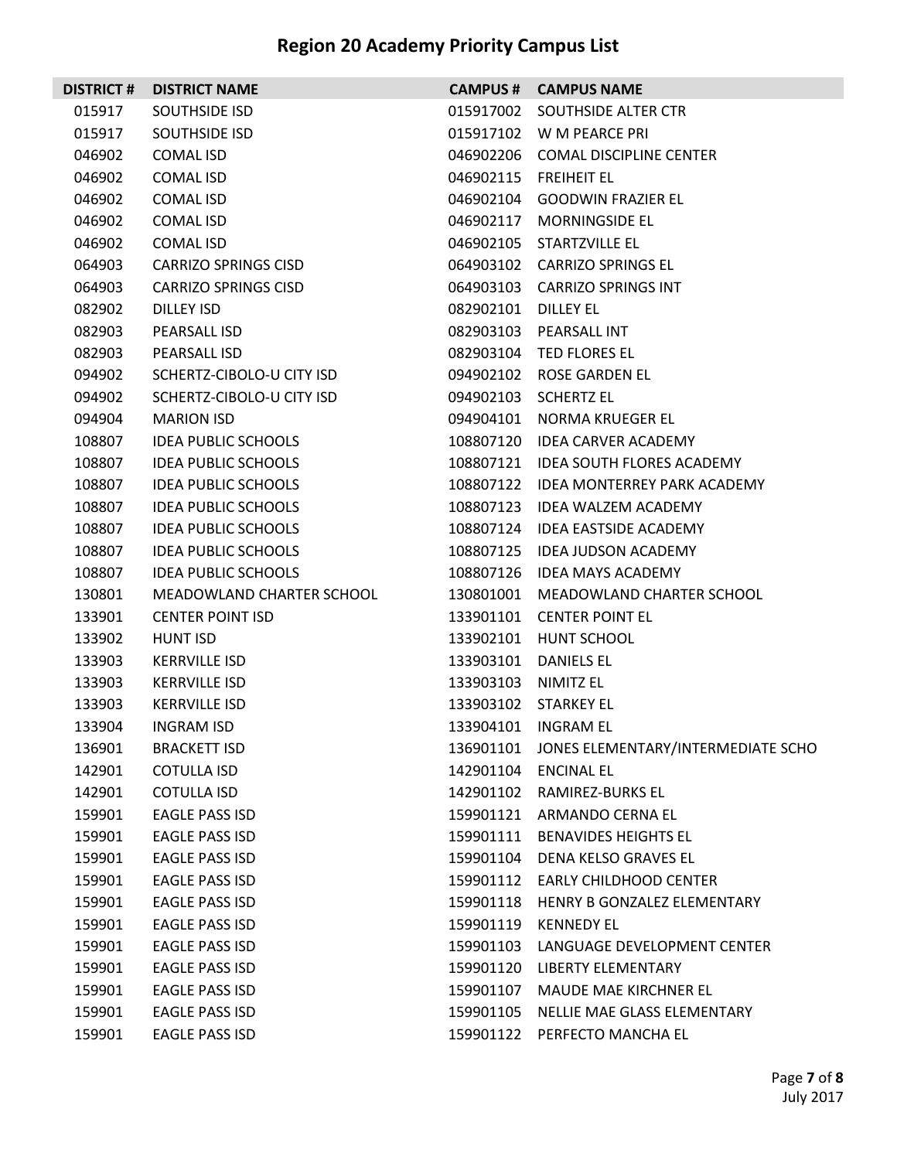| <b>DISTRICT#</b> | <b>DISTRICT NAME</b>        | <b>CAMPUS #</b> | <b>CAMPUS NAME</b>                           |
|------------------|-----------------------------|-----------------|----------------------------------------------|
| 015917           | <b>SOUTHSIDE ISD</b>        | 015917002       | SOUTHSIDE ALTER CTR                          |
| 015917           | <b>SOUTHSIDE ISD</b>        |                 | 015917102 W M PEARCE PRI                     |
| 046902           | <b>COMAL ISD</b>            | 046902206       | <b>COMAL DISCIPLINE CENTER</b>               |
| 046902           | COMAL ISD                   | 046902115       | <b>FREIHEIT EL</b>                           |
| 046902           | <b>COMAL ISD</b>            | 046902104       | <b>GOODWIN FRAZIER EL</b>                    |
| 046902           | COMAL ISD                   | 046902117       | <b>MORNINGSIDE EL</b>                        |
| 046902           | COMAL ISD                   | 046902105       | STARTZVILLE EL                               |
| 064903           | <b>CARRIZO SPRINGS CISD</b> |                 | 064903102 CARRIZO SPRINGS EL                 |
| 064903           | <b>CARRIZO SPRINGS CISD</b> | 064903103       | <b>CARRIZO SPRINGS INT</b>                   |
| 082902           | DILLEY ISD                  | 082902101       | DILLEY EL                                    |
| 082903           | PEARSALL ISD                | 082903103       | PEARSALL INT                                 |
| 082903           | PEARSALL ISD                |                 | 082903104 TED FLORES EL                      |
| 094902           | SCHERTZ-CIBOLO-U CITY ISD   | 094902102       | ROSE GARDEN EL                               |
| 094902           | SCHERTZ-CIBOLO-U CITY ISD   | 094902103       | <b>SCHERTZ EL</b>                            |
| 094904           | <b>MARION ISD</b>           | 094904101       | NORMA KRUEGER EL                             |
| 108807           | <b>IDEA PUBLIC SCHOOLS</b>  | 108807120       | <b>IDEA CARVER ACADEMY</b>                   |
| 108807           | <b>IDEA PUBLIC SCHOOLS</b>  | 108807121       | <b>IDEA SOUTH FLORES ACADEMY</b>             |
| 108807           | <b>IDEA PUBLIC SCHOOLS</b>  |                 | 108807122 IDEA MONTERREY PARK ACADEMY        |
| 108807           | <b>IDEA PUBLIC SCHOOLS</b>  | 108807123       | <b>IDEA WALZEM ACADEMY</b>                   |
| 108807           | <b>IDEA PUBLIC SCHOOLS</b>  |                 | 108807124 IDEA EASTSIDE ACADEMY              |
| 108807           | <b>IDEA PUBLIC SCHOOLS</b>  | 108807125       | <b>IDEA JUDSON ACADEMY</b>                   |
| 108807           | <b>IDEA PUBLIC SCHOOLS</b>  | 108807126       | <b>IDEA MAYS ACADEMY</b>                     |
| 130801           | MEADOWLAND CHARTER SCHOOL   | 130801001       | MEADOWLAND CHARTER SCHOOL                    |
| 133901           | <b>CENTER POINT ISD</b>     | 133901101       | <b>CENTER POINT EL</b>                       |
| 133902           | HUNT ISD                    | 133902101       | HUNT SCHOOL                                  |
| 133903           | KERRVILLE ISD               | 133903101       | <b>DANIELS EL</b>                            |
| 133903           | <b>KERRVILLE ISD</b>        | 133903103       | NIMITZ EL                                    |
| 133903           | <b>KERRVILLE ISD</b>        |                 | 133903102 STARKEY EL                         |
| 133904           | INGRAM ISD                  |                 | 133904101 INGRAM EL                          |
| 136901           | <b>BRACKETT ISD</b>         |                 | 136901101 JONES ELEMENTARY/INTERMEDIATE SCHO |
| 142901           | COTULLA ISD                 | 142901104       | <b>ENCINAL EL</b>                            |
| 142901           | COTULLA ISD                 |                 | 142901102 RAMIREZ-BURKS EL                   |
| 159901           | <b>EAGLE PASS ISD</b>       |                 | 159901121 ARMANDO CERNA EL                   |
| 159901           | <b>EAGLE PASS ISD</b>       |                 | 159901111 BENAVIDES HEIGHTS EL               |
| 159901           | <b>EAGLE PASS ISD</b>       | 159901104       | <b>DENA KELSO GRAVES EL</b>                  |
| 159901           | <b>EAGLE PASS ISD</b>       |                 | 159901112 EARLY CHILDHOOD CENTER             |
| 159901           | <b>EAGLE PASS ISD</b>       | 159901118       | HENRY B GONZALEZ ELEMENTARY                  |
| 159901           | <b>EAGLE PASS ISD</b>       | 159901119       | KENNEDY EL                                   |
| 159901           | <b>EAGLE PASS ISD</b>       | 159901103       | LANGUAGE DEVELOPMENT CENTER                  |
| 159901           | <b>EAGLE PASS ISD</b>       | 159901120       | LIBERTY ELEMENTARY                           |
| 159901           | <b>EAGLE PASS ISD</b>       | 159901107       | MAUDE MAE KIRCHNER EL                        |
| 159901           | <b>EAGLE PASS ISD</b>       | 159901105       | NELLIE MAE GLASS ELEMENTARY                  |
| 159901           | <b>EAGLE PASS ISD</b>       |                 | 159901122 PERFECTO MANCHA EL                 |